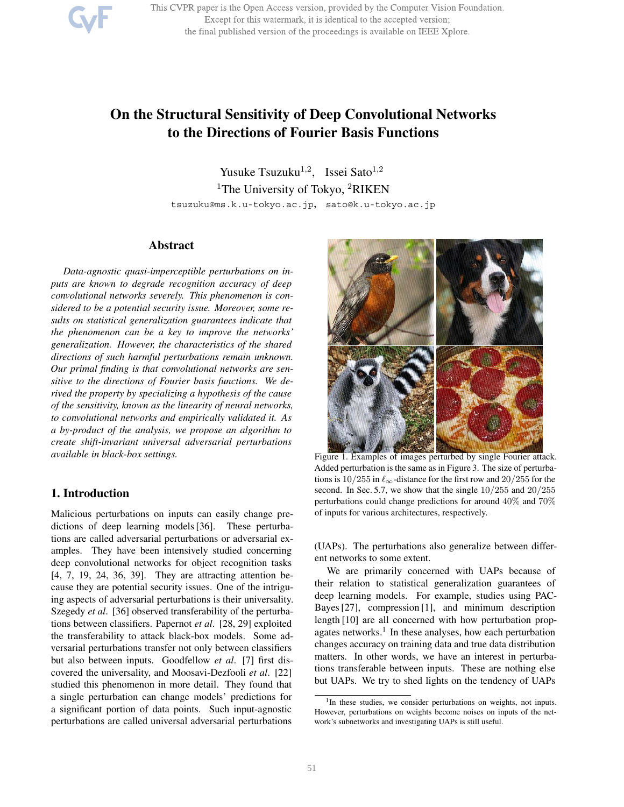This CVPR paper is the Open Access version, provided by the Computer Vision Foundation. Except for this watermark, it is identical to the accepted version; the final published version of the proceedings is available on IEEE Xplore.

# **On the Structural Sensitivity of Deep Convolutional Networks to the Directions of Fourier Basis Functions**

Yusuke Tsuzuku<sup>1,2</sup>, Issei Sato<sup>1,2</sup> <sup>1</sup>The University of Tokyo, <sup>2</sup>RIKEN tsuzuku@ms.k.u-tokyo.ac.jp, sato@k.u-tokyo.ac.jp

## **Abstract**

*Data-agnostic quasi-imperceptible perturbations on inputs are known to degrade recognition accuracy of deep convolutional networks severely. This phenomenon is considered to be a potential security issue. Moreover, some results on statistical generalization guarantees indicate that the phenomenon can be a key to improve the networks' generalization. However, the characteristics of the shared directions of such harmful perturbations remain unknown. Our primal finding is that convolutional networks are sensitive to the directions of Fourier basis functions. We derived the property by specializing a hypothesis of the cause of the sensitivity, known as the linearity of neural networks, to convolutional networks and empirically validated it. As a by-product of the analysis, we propose an algorithm to create shift-invariant universal adversarial perturbations available in black-box settings.*

# **1. Introduction**

Malicious perturbations on inputs can easily change predictions of deep learning models [36]. These perturbations are called adversarial perturbations or adversarial examples. They have been intensively studied concerning deep convolutional networks for object recognition tasks [4, 7, 19, 24, 36, 39]. They are attracting attention because they are potential security issues. One of the intriguing aspects of adversarial perturbations is their universality. Szegedy *et al*. [36] observed transferability of the perturbations between classifiers. Papernot *et al*. [28, 29] exploited the transferability to attack black-box models. Some adversarial perturbations transfer not only between classifiers but also between inputs. Goodfellow *et al*. [7] first discovered the universality, and Moosavi-Dezfooli *et al*. [22] studied this phenomenon in more detail. They found that a single perturbation can change models' predictions for a significant portion of data points. Such input-agnostic perturbations are called universal adversarial perturbations



Figure 1. Examples of images perturbed by single Fourier attack. Added perturbation is the same as in Figure 3. The size of perturbations is 10/255 in  $\ell_{\infty}$ -distance for the first row and 20/255 for the second. In Sec. 5.7, we show that the single 10/255 and 20/255 perturbations could change predictions for around 40% and 70% of inputs for various architectures, respectively.

(UAPs). The perturbations also generalize between different networks to some extent.

We are primarily concerned with UAPs because of their relation to statistical generalization guarantees of deep learning models. For example, studies using PAC-Bayes [27], compression [1], and minimum description length [10] are all concerned with how perturbation propagates networks.<sup>1</sup> In these analyses, how each perturbation changes accuracy on training data and true data distribution matters. In other words, we have an interest in perturbations transferable between inputs. These are nothing else but UAPs. We try to shed lights on the tendency of UAPs

<sup>&</sup>lt;sup>1</sup>In these studies, we consider perturbations on weights, not inputs. However, perturbations on weights become noises on inputs of the network's subnetworks and investigating UAPs is still useful.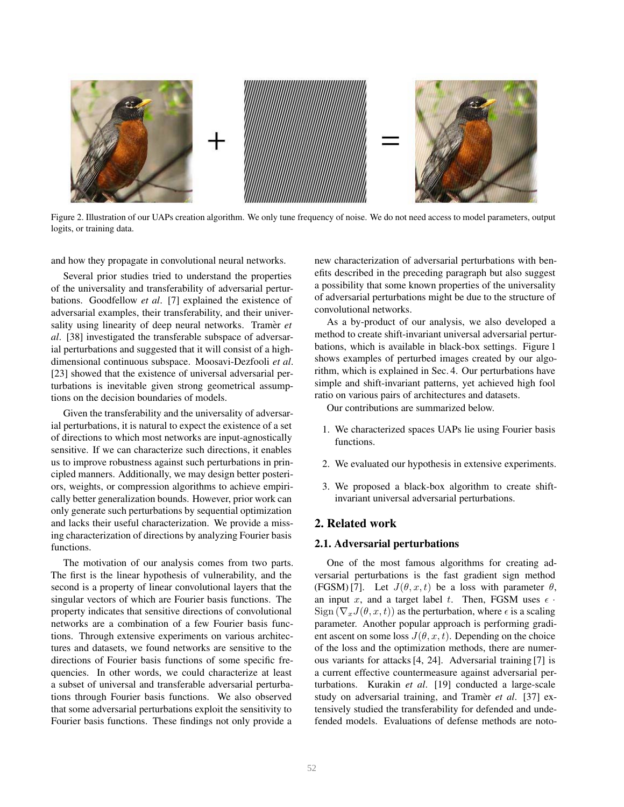

Figure 2. Illustration of our UAPs creation algorithm. We only tune frequency of noise. We do not need access to model parameters, output logits, or training data.

and how they propagate in convolutional neural networks.

Several prior studies tried to understand the properties of the universality and transferability of adversarial perturbations. Goodfellow *et al*. [7] explained the existence of adversarial examples, their transferability, and their universality using linearity of deep neural networks. Tramer *et al*. [38] investigated the transferable subspace of adversarial perturbations and suggested that it will consist of a highdimensional continuous subspace. Moosavi-Dezfooli *et al*. [23] showed that the existence of universal adversarial perturbations is inevitable given strong geometrical assumptions on the decision boundaries of models.

Given the transferability and the universality of adversarial perturbations, it is natural to expect the existence of a set of directions to which most networks are input-agnostically sensitive. If we can characterize such directions, it enables us to improve robustness against such perturbations in principled manners. Additionally, we may design better posteriors, weights, or compression algorithms to achieve empirically better generalization bounds. However, prior work can only generate such perturbations by sequential optimization and lacks their useful characterization. We provide a missing characterization of directions by analyzing Fourier basis functions.

The motivation of our analysis comes from two parts. The first is the linear hypothesis of vulnerability, and the second is a property of linear convolutional layers that the singular vectors of which are Fourier basis functions. The property indicates that sensitive directions of convolutional networks are a combination of a few Fourier basis functions. Through extensive experiments on various architectures and datasets, we found networks are sensitive to the directions of Fourier basis functions of some specific frequencies. In other words, we could characterize at least a subset of universal and transferable adversarial perturbations through Fourier basis functions. We also observed that some adversarial perturbations exploit the sensitivity to Fourier basis functions. These findings not only provide a

new characterization of adversarial perturbations with benefits described in the preceding paragraph but also suggest a possibility that some known properties of the universality of adversarial perturbations might be due to the structure of convolutional networks.

As a by-product of our analysis, we also developed a method to create shift-invariant universal adversarial perturbations, which is available in black-box settings. Figure 1 shows examples of perturbed images created by our algorithm, which is explained in Sec. 4. Our perturbations have simple and shift-invariant patterns, yet achieved high fool ratio on various pairs of architectures and datasets.

Our contributions are summarized below.

- 1. We characterized spaces UAPs lie using Fourier basis functions.
- 2. We evaluated our hypothesis in extensive experiments.
- 3. We proposed a black-box algorithm to create shiftinvariant universal adversarial perturbations.

## **2. Related work**

## **2.1. Adversarial perturbations**

One of the most famous algorithms for creating adversarial perturbations is the fast gradient sign method (FGSM) [7]. Let  $J(\theta, x, t)$  be a loss with parameter  $\theta$ , an input x, and a target label t. Then, FGSM uses  $\epsilon$ . Sign  $(\nabla_x J(\theta, x, t))$  as the perturbation, where  $\epsilon$  is a scaling parameter. Another popular approach is performing gradient ascent on some loss  $J(\theta, x, t)$ . Depending on the choice of the loss and the optimization methods, there are numerous variants for attacks [4, 24]. Adversarial training [7] is a current effective countermeasure against adversarial perturbations. Kurakin *et al*. [19] conducted a large-scale study on adversarial training, and Tramer *et al.* [37] extensively studied the transferability for defended and undefended models. Evaluations of defense methods are noto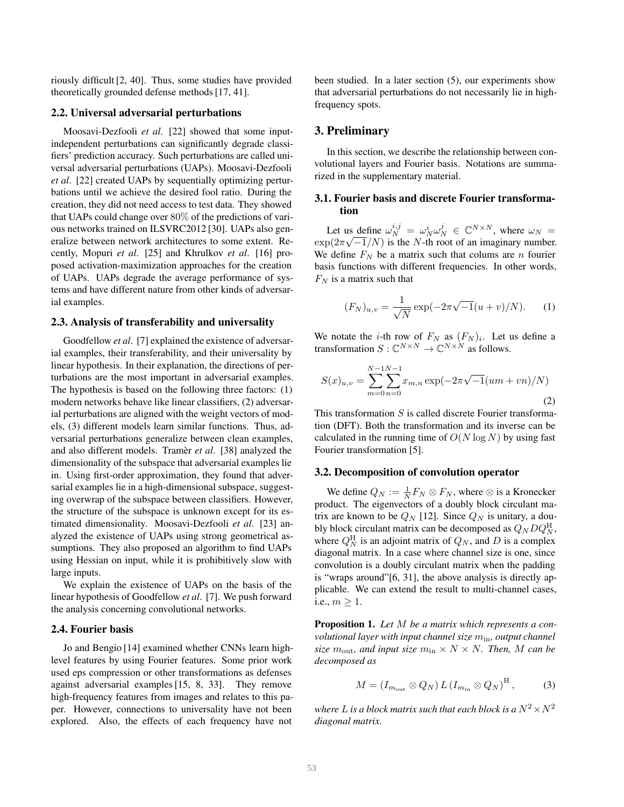riously difficult [2, 40]. Thus, some studies have provided theoretically grounded defense methods [17, 41].

#### **2.2. Universal adversarial perturbations**

Moosavi-Dezfooli *et al*. [22] showed that some inputindependent perturbations can significantly degrade classifiers' prediction accuracy. Such perturbations are called universal adversarial perturbations (UAPs). Moosavi-Dezfooli *et al*. [22] created UAPs by sequentially optimizing perturbations until we achieve the desired fool ratio. During the creation, they did not need access to test data. They showed that UAPs could change over 80% of the predictions of various networks trained on ILSVRC2012 [30]. UAPs also generalize between network architectures to some extent. Recently, Mopuri *et al*. [25] and Khrulkov *et al*. [16] proposed activation-maximization approaches for the creation of UAPs. UAPs degrade the average performance of systems and have different nature from other kinds of adversarial examples.

#### **2.3. Analysis of transferability and universality**

Goodfellow *et al*. [7] explained the existence of adversarial examples, their transferability, and their universality by linear hypothesis. In their explanation, the directions of perturbations are the most important in adversarial examples. The hypothesis is based on the following three factors: (1) modern networks behave like linear classifiers, (2) adversarial perturbations are aligned with the weight vectors of models, (3) different models learn similar functions. Thus, adversarial perturbations generalize between clean examples, and also different models. Tramer *et al.* [38] analyzed the dimensionality of the subspace that adversarial examples lie in. Using first-order approximation, they found that adversarial examples lie in a high-dimensional subspace, suggesting overwrap of the subspace between classifiers. However, the structure of the subspace is unknown except for its estimated dimensionality. Moosavi-Dezfooli *et al*. [23] analyzed the existence of UAPs using strong geometrical assumptions. They also proposed an algorithm to find UAPs using Hessian on input, while it is prohibitively slow with large inputs.

We explain the existence of UAPs on the basis of the linear hypothesis of Goodfellow *et al*. [7]. We push forward the analysis concerning convolutional networks.

#### **2.4. Fourier basis**

Jo and Bengio [14] examined whether CNNs learn highlevel features by using Fourier features. Some prior work used eps compression or other transformations as defenses against adversarial examples [15, 8, 33]. They remove high-frequency features from images and relates to this paper. However, connections to universality have not been explored. Also, the effects of each frequency have not

been studied. In a later section (5), our experiments show that adversarial perturbations do not necessarily lie in highfrequency spots.

#### **3. Preliminary**

In this section, we describe the relationship between convolutional layers and Fourier basis. Notations are summarized in the supplementary material.

#### **3.1. Fourier basis and discrete Fourier transformation**

Let us define  $\omega_N^{i,j} = \omega_N^i \omega_N^j \in \mathbb{C}^{N \times N}$ , where  $\omega_N =$  $\exp(2\pi\sqrt{-1/N})$  is the N-th root of an imaginary number. We define  $F_N$  be a matrix such that colums are *n* fourier basis functions with different frequencies. In other words,  $F_N$  is a matrix such that

$$
(F_N)_{u,v} = \frac{1}{\sqrt{N}} \exp(-2\pi\sqrt{-1}(u+v)/N). \tag{1}
$$

We notate the *i*-th row of  $F_N$  as  $(F_N)_i$ . Let us define a transformation  $S : \mathbb{C}^{N \times N} \to \mathbb{C}^{N \times N}$  as follows.

$$
S(x)_{u,v} = \sum_{m=0}^{N-1} \sum_{n=0}^{N-1} x_{m,n} \exp(-2\pi\sqrt{-1}(um+vn)/N)
$$
\n(2)

This transformation  $S$  is called discrete Fourier transformation (DFT). Both the transformation and its inverse can be calculated in the running time of  $O(N \log N)$  by using fast Fourier transformation [5].

#### **3.2. Decomposition of convolution operator**

We define  $Q_N := \frac{1}{N} F_N \otimes F_N$ , where  $\otimes$  is a Kronecker product. The eigenvectors of a doubly block circulant matrix are known to be  $Q_N$  [12]. Since  $Q_N$  is unitary, a doubly block circulant matrix can be decomposed as  $Q_N D Q_N^{\rm H}$ , where  $Q_N^{\rm H}$  is an adjoint matrix of  $Q_N$ , and D is a complex diagonal matrix. In a case where channel size is one, since convolution is a doubly circulant matrix when the padding is "wraps around"[6, 31], the above analysis is directly applicable. We can extend the result to multi-channel cases, i.e.,  $m \geq 1$ .

**Proposition 1.** Let M be a matrix which represents a con*volutional layer with input channel size*  $m_{in}$ *, output channel size*  $m_{\text{out}}$ *, and input size*  $m_{\text{in}} \times N \times N$ *. Then, M can be decomposed as*

$$
M = (I_{m_{\text{out}}} \otimes Q_N) L (I_{m_{\text{in}}} \otimes Q_N)^{\text{H}}, \tag{3}
$$

*where L* is a block matrix such that each block is a  $N^2 \times N^2$ *diagonal matrix.*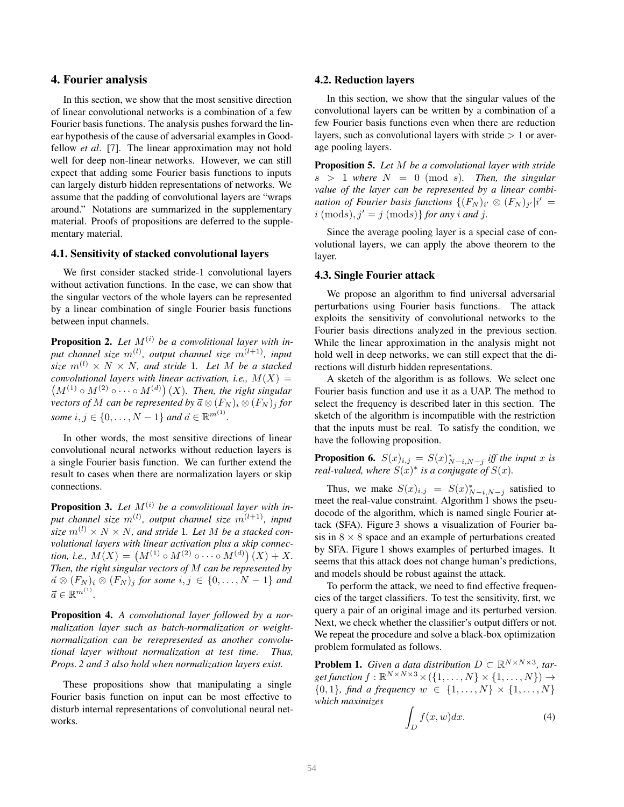## **4. Fourier analysis**

In this section, we show that the most sensitive direction of linear convolutional networks is a combination of a few Fourier basis functions. The analysis pushes forward the linear hypothesis of the cause of adversarial examples in Goodfellow *et al*. [7]. The linear approximation may not hold well for deep non-linear networks. However, we can still expect that adding some Fourier basis functions to inputs can largely disturb hidden representations of networks. We assume that the padding of convolutional layers are "wraps around." Notations are summarized in the supplementary material. Proofs of propositions are deferred to the supplementary material.

## **4.1. Sensitivity of stacked convolutional layers**

We first consider stacked stride-1 convolutional layers without activation functions. In the case, we can show that the singular vectors of the whole layers can be represented by a linear combination of single Fourier basis functions between input channels.

**Proposition 2.** Let  $M^{(i)}$  be a convolitional layer with in*put channel size* () *, output channel size* (+1)*, input size*  $m^{(l)} \times N \times N$ , and stride 1*. Let M* be a stacked *convolutional layers with linear activation, i.e.,*  $M(X) =$  $(M^{(1)} \circ M^{(2)} \circ \cdots \circ M^{(d)})$  (X). Then, the right singular *vectors of*  $M$  can be represented by  $\vec{a} \otimes (F_N)_i \otimes (F_N)_j$  for *some*  $i, j \in \{0, \ldots, N-1\}$  *and*  $\vec{a} \in \mathbb{R}^{m^{(1)}}$ *.* 

In other words, the most sensitive directions of linear convolutional neural networks without reduction layers is a single Fourier basis function. We can further extend the result to cases when there are normalization layers or skip connections.

**Proposition 3.** Let  $M^{(i)}$  be a convolitional layer with in*put channel size* () *, output channel size* (+1)*, input* size  $m^{(l)} \times N \times N$ , and stride 1. Let M be a stacked con*volutional layers with linear activation plus a skip connection, i.e.,*  $M(X) = (M^{(1)} \circ M^{(2)} \circ \cdots \circ M^{(d)})(X) + X.$ *Then, the right singular vectors of*  $M$  can be represented by  $\vec{a} \otimes (F_N)_i \otimes (F_N)_j$  for some  $i, j \in \{0, \ldots, N-1\}$  and  $\vec{a} \in \mathbb{R}^{m^{(1)}}$ .

**Proposition 4.** *A convolutional layer followed by a normalization layer such as batch-normalization or weightnormalization can be rerepresented as another convolutional layer without normalization at test time. Thus, Props. 2 and 3 also hold when normalization layers exist.*

These propositions show that manipulating a single Fourier basis function on input can be most effective to disturb internal representations of convolutional neural networks.

#### **4.2. Reduction layers**

In this section, we show that the singular values of the convolutional layers can be written by a combination of a few Fourier basis functions even when there are reduction layers, such as convolutional layers with stride  $> 1$  or average pooling layers.

**Proposition 5.** *Let be a convolutional layer with stride*  $s > 1$  where  $N = 0 \pmod{s}$ . Then, the singular *value of the layer can be represented by a linear combination of Fourier basis functions*  $\{(F_N)_{i'} \otimes (F_N)_{j'} | i' =$  $i \text{ (mod } s), j' = j \text{ (mod } s)$  *for any i and j*.

Since the average pooling layer is a special case of convolutional layers, we can apply the above theorem to the layer.

## **4.3. Single Fourier attack**

We propose an algorithm to find universal adversarial perturbations using Fourier basis functions. The attack exploits the sensitivity of convolutional networks to the Fourier basis directions analyzed in the previous section. While the linear approximation in the analysis might not hold well in deep networks, we can still expect that the directions will disturb hidden representations.

A sketch of the algorithm is as follows. We select one Fourier basis function and use it as a UAP. The method to select the frequency is described later in this section. The sketch of the algorithm is incompatible with the restriction that the inputs must be real. To satisfy the condition, we have the following proposition.

**Proposition 6.**  $S(x)_{i,j} = S(x)_{N-i,N-j}^*$  iff the input x is *real-valued, where*  $S(x)^*$  *is a conjugate of*  $S(x)$ *.* 

Thus, we make  $S(x)_{i,j} = S(x)_{N-i,N-j}^*$  satisfied to meet the real-value constraint. Algorithm 1 shows the pseudocode of the algorithm, which is named single Fourier attack (SFA). Figure 3 shows a visualization of Fourier basis in  $8 \times 8$  space and an example of perturbations created by SFA. Figure 1 shows examples of perturbed images. It seems that this attack does not change human's predictions, and models should be robust against the attack.

To perform the attack, we need to find effective frequencies of the target classifiers. To test the sensitivity, first, we query a pair of an original image and its perturbed version. Next, we check whether the classifier's output differs or not. We repeat the procedure and solve a black-box optimization problem formulated as follows.

**Problem 1.** *Given a data distribution*  $D \subset \mathbb{R}^{N \times N \times 3}$ , *target function*  $f : \mathbb{R}^{N \times N \times 3} \times (\{1, \ldots, N\} \times \{1, \ldots, N\}) \rightarrow$  ${0, 1}$ *, find a frequency*  $w \in \{1, ..., N\} \times \{1, ..., N\}$ *which maximizes*

$$
\int_{D} f(x, w) dx.
$$
 (4)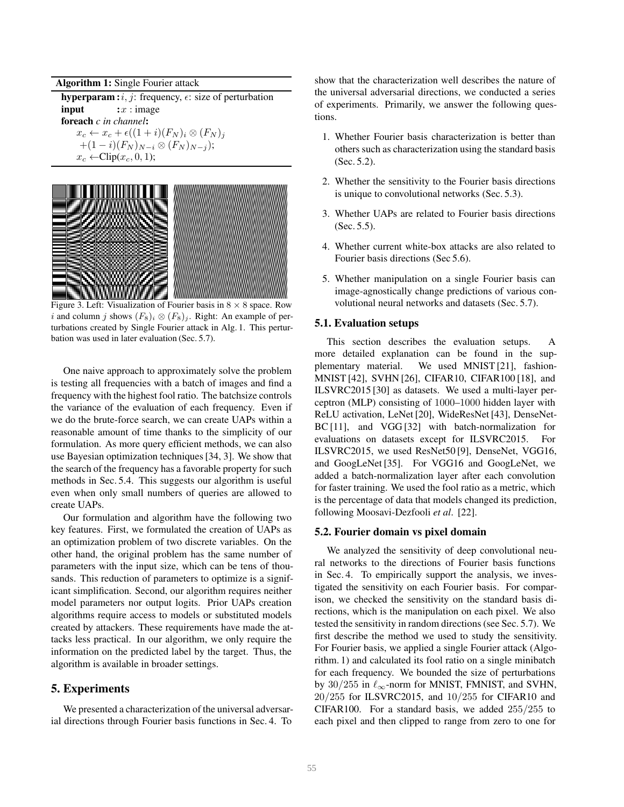**Algorithm 1:** Single Fourier attack

**hyperparam :** *i*, *j*: frequency,  $\epsilon$ : size of perturbation **input** : *x* : image **foreach** *c in channel***:**  $x_c \leftarrow x_c + \epsilon ((1 + i)(F_N)_i \otimes (F_N)_i)$  $+(1 - i)(F_N)_{N-i} \otimes (F_N)_{N-j});$  $x_c \leftarrow \text{Clip}(x_c, 0, 1);$ 



Figure 3. Left: Visualization of Fourier basis in  $8 \times 8$  space. Row *i* and column *j* shows  $(F_8)_i \otimes (F_8)_j$ . Right: An example of perturbations created by Single Fourier attack in Alg. 1. This perturbation was used in later evaluation (Sec. 5.7).

One naive approach to approximately solve the problem is testing all frequencies with a batch of images and find a frequency with the highest fool ratio. The batchsize controls the variance of the evaluation of each frequency. Even if we do the brute-force search, we can create UAPs within a reasonable amount of time thanks to the simplicity of our formulation. As more query efficient methods, we can also use Bayesian optimization techniques [34, 3]. We show that the search of the frequency has a favorable property for such methods in Sec. 5.4. This suggests our algorithm is useful even when only small numbers of queries are allowed to create UAPs.

Our formulation and algorithm have the following two key features. First, we formulated the creation of UAPs as an optimization problem of two discrete variables. On the other hand, the original problem has the same number of parameters with the input size, which can be tens of thousands. This reduction of parameters to optimize is a significant simplification. Second, our algorithm requires neither model parameters nor output logits. Prior UAPs creation algorithms require access to models or substituted models created by attackers. These requirements have made the attacks less practical. In our algorithm, we only require the information on the predicted label by the target. Thus, the algorithm is available in broader settings.

## **5. Experiments**

We presented a characterization of the universal adversarial directions through Fourier basis functions in Sec. 4. To

show that the characterization well describes the nature of the universal adversarial directions, we conducted a series of experiments. Primarily, we answer the following questions.

- 1. Whether Fourier basis characterization is better than others such as characterization using the standard basis (Sec. 5.2).
- 2. Whether the sensitivity to the Fourier basis directions is unique to convolutional networks (Sec. 5.3).
- 3. Whether UAPs are related to Fourier basis directions  $(Sec. 5.5)$ .
- 4. Whether current white-box attacks are also related to Fourier basis directions (Sec 5.6).
- 5. Whether manipulation on a single Fourier basis can image-agnostically change predictions of various convolutional neural networks and datasets (Sec. 5.7).

## **5.1. Evaluation setups**

This section describes the evaluation setups. A more detailed explanation can be found in the supplementary material. We used MNIST [21], fashion-MNIST [42], SVHN [26], CIFAR10, CIFAR100 [18], and ILSVRC2015 [30] as datasets. We used a multi-layer perceptron (MLP) consisting of 1000–1000 hidden layer with ReLU activation, LeNet [20], WideResNet [43], DenseNet-BC [11], and VGG [32] with batch-normalization for evaluations on datasets except for ILSVRC2015. For ILSVRC2015, we used ResNet50 [9], DenseNet, VGG16, and GoogLeNet [35]. For VGG16 and GoogLeNet, we added a batch-normalization layer after each convolution for faster training. We used the fool ratio as a metric, which is the percentage of data that models changed its prediction, following Moosavi-Dezfooli *et al*. [22].

#### **5.2. Fourier domain vs pixel domain**

We analyzed the sensitivity of deep convolutional neural networks to the directions of Fourier basis functions in Sec. 4. To empirically support the analysis, we investigated the sensitivity on each Fourier basis. For comparison, we checked the sensitivity on the standard basis directions, which is the manipulation on each pixel. We also tested the sensitivity in random directions (see Sec. 5.7). We first describe the method we used to study the sensitivity. For Fourier basis, we applied a single Fourier attack (Algorithm. 1) and calculated its fool ratio on a single minibatch for each frequency. We bounded the size of perturbations by 30/255 in  $\ell_{\infty}$ -norm for MNIST, FMNIST, and SVHN, 20/255 for ILSVRC2015, and 10/255 for CIFAR10 and CIFAR100. For a standard basis, we added  $255/255$  to each pixel and then clipped to range from zero to one for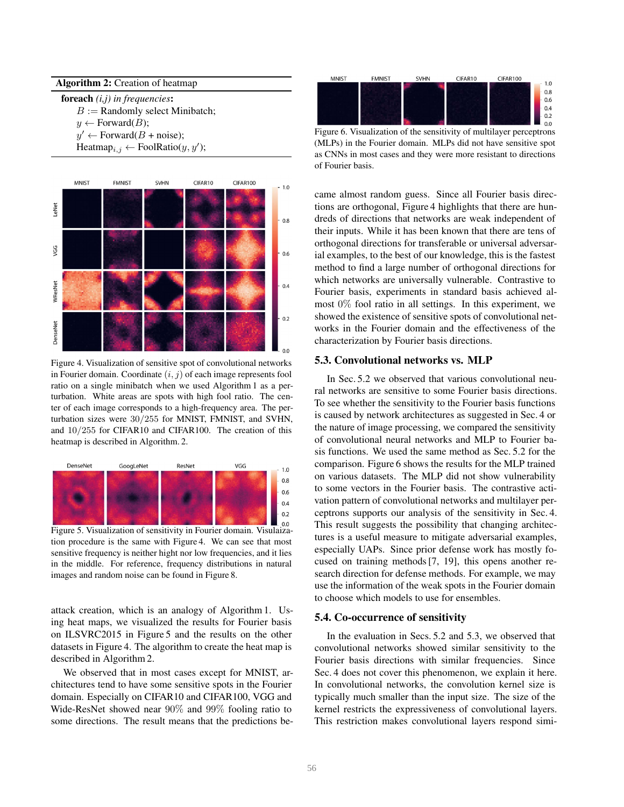#### **Algorithm 2:** Creation of heatmap

**foreach** *(i,j) in frequencies***:**  $B :=$  Randomly select Minibatch;  $y \leftarrow$  Forward $(B)$ ;  $y' \leftarrow Forward(B + noise);$  $\text{Heatmap}_{i,j} \leftarrow \text{FoolRatio}(y, y');$ 



Figure 4. Visualization of sensitive spot of convolutional networks in Fourier domain. Coordinate  $(i, j)$  of each image represents fool ratio on a single minibatch when we used Algorithm 1 as a perturbation. White areas are spots with high fool ratio. The center of each image corresponds to a high-frequency area. The perturbation sizes were 30/255 for MNIST, FMNIST, and SVHN, and 10/255 for CIFAR10 and CIFAR100. The creation of this heatmap is described in Algorithm. 2.



Figure 5. Visualization of sensitivity in Fourier domain. Visulaization procedure is the same with Figure 4. We can see that most sensitive frequency is neither hight nor low frequencies, and it lies in the middle. For reference, frequency distributions in natural images and random noise can be found in Figure 8.

attack creation, which is an analogy of Algorithm 1. Using heat maps, we visualized the results for Fourier basis on ILSVRC2015 in Figure 5 and the results on the other datasets in Figure 4. The algorithm to create the heat map is described in Algorithm 2.

We observed that in most cases except for MNIST, architectures tend to have some sensitive spots in the Fourier domain. Especially on CIFAR10 and CIFAR100, VGG and Wide-ResNet showed near 90% and 99% fooling ratio to some directions. The result means that the predictions be-



(MLPs) in the Fourier domain. MLPs did not have sensitive spot as CNNs in most cases and they were more resistant to directions of Fourier basis.

came almost random guess. Since all Fourier basis directions are orthogonal, Figure 4 highlights that there are hundreds of directions that networks are weak independent of their inputs. While it has been known that there are tens of orthogonal directions for transferable or universal adversarial examples, to the best of our knowledge, this is the fastest method to find a large number of orthogonal directions for which networks are universally vulnerable. Contrastive to Fourier basis, experiments in standard basis achieved almost 0% fool ratio in all settings. In this experiment, we showed the existence of sensitive spots of convolutional networks in the Fourier domain and the effectiveness of the characterization by Fourier basis directions.

#### **5.3. Convolutional networks vs. MLP**

In Sec. 5.2 we observed that various convolutional neural networks are sensitive to some Fourier basis directions. To see whether the sensitivity to the Fourier basis functions is caused by network architectures as suggested in Sec. 4 or the nature of image processing, we compared the sensitivity of convolutional neural networks and MLP to Fourier basis functions. We used the same method as Sec. 5.2 for the comparison. Figure 6 shows the results for the MLP trained on various datasets. The MLP did not show vulnerability to some vectors in the Fourier basis. The contrastive activation pattern of convolutional networks and multilayer perceptrons supports our analysis of the sensitivity in Sec. 4. This result suggests the possibility that changing architectures is a useful measure to mitigate adversarial examples, especially UAPs. Since prior defense work has mostly focused on training methods [7, 19], this opens another research direction for defense methods. For example, we may use the information of the weak spots in the Fourier domain to choose which models to use for ensembles.

#### **5.4. Co-occurrence of sensitivity**

In the evaluation in Secs. 5.2 and 5.3, we observed that convolutional networks showed similar sensitivity to the Fourier basis directions with similar frequencies. Since Sec. 4 does not cover this phenomenon, we explain it here. In convolutional networks, the convolution kernel size is typically much smaller than the input size. The size of the kernel restricts the expressiveness of convolutional layers. This restriction makes convolutional layers respond simi-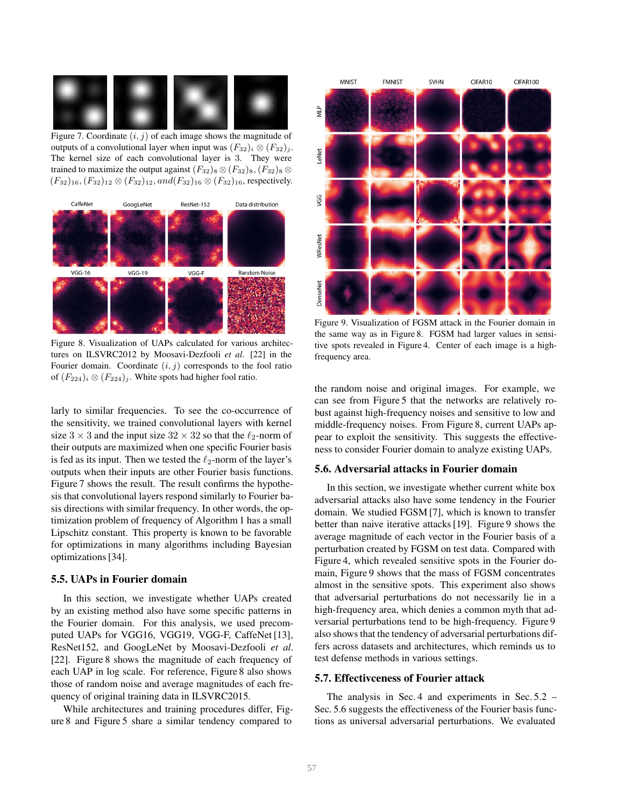

Figure 7. Coordinate  $(i, j)$  of each image shows the magnitude of outputs of a convolutional layer when input was  $(F_{32})_i \otimes (F_{32})_i$ . The kernel size of each convolutional layer is 3. They were trained to maximize the output against  $(F_{32})_8 \otimes (F_{32})_8, (F_{32})_8 \otimes$  $(F_{32})_{16},(F_{32})_{12}\otimes(F_{32})_{12},and(F_{32})_{16}\otimes(F_{32})_{16}$ , respectively.



Figure 8. Visualization of UAPs calculated for various architectures on ILSVRC2012 by Moosavi-Dezfooli *et al*. [22] in the Fourier domain. Coordinate  $(i, j)$  corresponds to the fool ratio of  $(F_{224})_i \otimes (F_{224})_j$ . White spots had higher fool ratio.

larly to similar frequencies. To see the co-occurrence of the sensitivity, we trained convolutional layers with kernel size  $3 \times 3$  and the input size  $32 \times 32$  so that the  $\ell_2$ -norm of their outputs are maximized when one specific Fourier basis is fed as its input. Then we tested the  $\ell_2$ -norm of the layer's outputs when their inputs are other Fourier basis functions. Figure 7 shows the result. The result confirms the hypothesis that convolutional layers respond similarly to Fourier basis directions with similar frequency. In other words, the optimization problem of frequency of Algorithm 1 has a small Lipschitz constant. This property is known to be favorable for optimizations in many algorithms including Bayesian optimizations [34].

#### **5.5. UAPs in Fourier domain**

In this section, we investigate whether UAPs created by an existing method also have some specific patterns in the Fourier domain. For this analysis, we used precomputed UAPs for VGG16, VGG19, VGG-F, CaffeNet [13], ResNet152, and GoogLeNet by Moosavi-Dezfooli *et al*. [22]. Figure 8 shows the magnitude of each frequency of each UAP in log scale. For reference, Figure 8 also shows those of random noise and average magnitudes of each frequency of original training data in ILSVRC2015.

While architectures and training procedures differ, Figure 8 and Figure 5 share a similar tendency compared to



Figure 9. Visualization of FGSM attack in the Fourier domain in the same way as in Figure 8. FGSM had larger values in sensitive spots revealed in Figure 4. Center of each image is a highfrequency area.

the random noise and original images. For example, we can see from Figure 5 that the networks are relatively robust against high-frequency noises and sensitive to low and middle-frequency noises. From Figure 8, current UAPs appear to exploit the sensitivity. This suggests the effectiveness to consider Fourier domain to analyze existing UAPs.

## **5.6. Adversarial attacks in Fourier domain**

In this section, we investigate whether current white box adversarial attacks also have some tendency in the Fourier domain. We studied FGSM [7], which is known to transfer better than naive iterative attacks [19]. Figure 9 shows the average magnitude of each vector in the Fourier basis of a perturbation created by FGSM on test data. Compared with Figure 4, which revealed sensitive spots in the Fourier domain, Figure 9 shows that the mass of FGSM concentrates almost in the sensitive spots. This experiment also shows that adversarial perturbations do not necessarily lie in a high-frequency area, which denies a common myth that adversarial perturbations tend to be high-frequency. Figure 9 also shows that the tendency of adversarial perturbations differs across datasets and architectures, which reminds us to test defense methods in various settings.

#### **5.7. Effectivceness of Fourier attack**

The analysis in Sec. 4 and experiments in Sec. 5.2 – Sec. 5.6 suggests the effectiveness of the Fourier basis functions as universal adversarial perturbations. We evaluated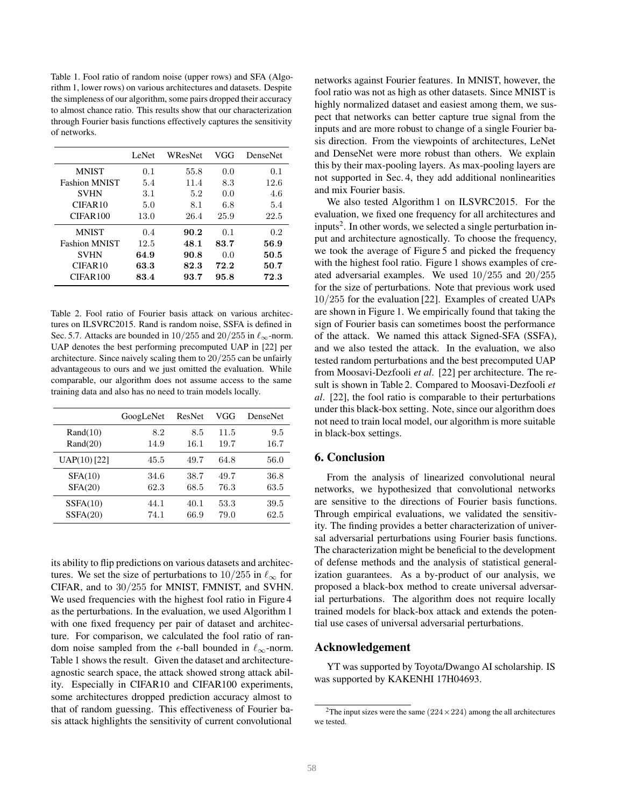Table 1. Fool ratio of random noise (upper rows) and SFA (Algorithm 1, lower rows) on various architectures and datasets. Despite the simpleness of our algorithm, some pairs dropped their accuracy to almost chance ratio. This results show that our characterization through Fourier basis functions effectively captures the sensitivity of networks.

|                      | LeNet | WResNet | VGG  | <b>DenseNet</b> |
|----------------------|-------|---------|------|-----------------|
| <b>MNIST</b>         | 0.1   | 55.8    | 0.0  | 0.1             |
| <b>Fashion MNIST</b> | 5.4   | 11.4    | 8.3  | 12.6            |
| <b>SVHN</b>          | 3.1   | 5.2     | 0.0  | 4.6             |
| CIFAR10              | 5.0   | 8.1     | 6.8  | 5.4             |
| CIFAR <sub>100</sub> | 13.0  | 26.4    | 25.9 | 22.5            |
| <b>MNIST</b>         | 0.4   | 90.2    | 0.1  | 0.2             |
| <b>Fashion MNIST</b> | 12.5  | 48.1    | 83.7 | 56.9            |
| <b>SVHN</b>          | 64.9  | 90.8    | 0.0  | 50.5            |
| CIFAR <sub>10</sub>  | 63.3  | 82.3    | 72.2 | 50.7            |
| CIFAR <sub>100</sub> | 83.4  | 93.7    | 95.8 | 72.3            |

Table 2. Fool ratio of Fourier basis attack on various architectures on ILSVRC2015. Rand is random noise, SSFA is defined in Sec. 5.7. Attacks are bounded in 10/255 and 20/255 in  $\ell_{\infty}$ -norm. UAP denotes the best performing precomputed UAP in [22] per architecture. Since naively scaling them to 20/255 can be unfairly advantageous to ours and we just omitted the evaluation. While comparable, our algorithm does not assume access to the same training data and also has no need to train models locally.

|                | GoogLeNet | <b>ResNet</b> | VGG  | <b>DenseNet</b> |
|----------------|-----------|---------------|------|-----------------|
| Rand(10)       | 8.2       | 8.5           | 11.5 | 9.5             |
| Rand(20)       | 14.9      | $16.1\,$      | 19.7 | 16.7            |
| $UAP(10)$ [22] | 45.5      | 49.7          | 64.8 | 56.0            |
| SFA(10)        | 34.6      | 38.7          | 49.7 | 36.8            |
| SFA(20)        | 62.3      | 68.5          | 76.3 | 63.5            |
| SSA(10)        | 44.1      | 40.1          | 53.3 | 39.5            |
| SSA(20)        | 74.1      | 66.9          | 79.0 | 62.5            |

its ability to flip predictions on various datasets and architectures. We set the size of perturbations to  $10/255$  in  $\ell_{\infty}$  for CIFAR, and to 30/255 for MNIST, FMNIST, and SVHN. We used frequencies with the highest fool ratio in Figure 4 as the perturbations. In the evaluation, we used Algorithm 1 with one fixed frequency per pair of dataset and architecture. For comparison, we calculated the fool ratio of random noise sampled from the  $\epsilon$ -ball bounded in  $\ell_{\infty}$ -norm. Table 1 shows the result. Given the dataset and architectureagnostic search space, the attack showed strong attack ability. Especially in CIFAR10 and CIFAR100 experiments, some architectures dropped prediction accuracy almost to that of random guessing. This effectiveness of Fourier basis attack highlights the sensitivity of current convolutional

networks against Fourier features. In MNIST, however, the fool ratio was not as high as other datasets. Since MNIST is highly normalized dataset and easiest among them, we suspect that networks can better capture true signal from the inputs and are more robust to change of a single Fourier basis direction. From the viewpoints of architectures, LeNet and DenseNet were more robust than others. We explain this by their max-pooling layers. As max-pooling layers are not supported in Sec. 4, they add additional nonlinearities and mix Fourier basis.

We also tested Algorithm 1 on ILSVRC2015. For the evaluation, we fixed one frequency for all architectures and inputs<sup>2</sup>. In other words, we selected a single perturbation input and architecture agnostically. To choose the frequency, we took the average of Figure 5 and picked the frequency with the highest fool ratio. Figure 1 shows examples of created adversarial examples. We used 10/255 and 20/255 for the size of perturbations. Note that previous work used 10/255 for the evaluation [22]. Examples of created UAPs are shown in Figure 1. We empirically found that taking the sign of Fourier basis can sometimes boost the performance of the attack. We named this attack Signed-SFA (SSFA), and we also tested the attack. In the evaluation, we also tested random perturbations and the best precomputed UAP from Moosavi-Dezfooli *et al*. [22] per architecture. The result is shown in Table 2. Compared to Moosavi-Dezfooli *et al*. [22], the fool ratio is comparable to their perturbations under this black-box setting. Note, since our algorithm does not need to train local model, our algorithm is more suitable in black-box settings.

# **6. Conclusion**

From the analysis of linearized convolutional neural networks, we hypothesized that convolutional networks are sensitive to the directions of Fourier basis functions. Through empirical evaluations, we validated the sensitivity. The finding provides a better characterization of universal adversarial perturbations using Fourier basis functions. The characterization might be beneficial to the development of defense methods and the analysis of statistical generalization guarantees. As a by-product of our analysis, we proposed a black-box method to create universal adversarial perturbations. The algorithm does not require locally trained models for black-box attack and extends the potential use cases of universal adversarial perturbations.

## **Acknowledgement**

YT was supported by Toyota/Dwango AI scholarship. IS was supported by KAKENHI 17H04693.

<sup>&</sup>lt;sup>2</sup>The input sizes were the same ( $224 \times 224$ ) among the all architectures we tested.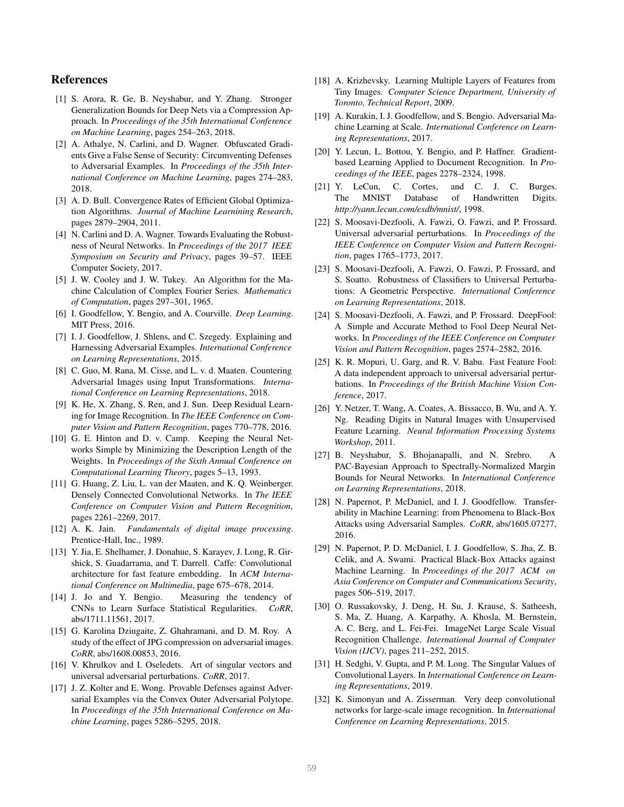## **References**

- [1] S. Arora, R. Ge, B. Neyshabur, and Y. Zhang. Stronger Generalization Bounds for Deep Nets via a Compression Approach. In *Proceedings of the 35th International Conference on Machine Learning*, pages 254–263, 2018.
- [2] A. Athalye, N. Carlini, and D. Wagner. Obfuscated Gradients Give a False Sense of Security: Circumventing Defenses to Adversarial Examples. In *Proceedings of the 35th International Conference on Machine Learning*, pages 274–283, 2018.
- [3] A. D. Bull. Convergence Rates of Efficient Global Optimization Algorithms. *Journal of Machine Learnining Research*, pages 2879–2904, 2011.
- [4] N. Carlini and D. A. Wagner. Towards Evaluating the Robustness of Neural Networks. In *Proceedings of the 2017 IEEE Symposium on Security and Privacy*, pages 39–57. IEEE Computer Society, 2017.
- [5] J. W. Cooley and J. W. Tukey. An Algorithm for the Machine Calculation of Complex Fourier Series. *Mathematics of Computation*, pages 297–301, 1965.
- [6] I. Goodfellow, Y. Bengio, and A. Courville. *Deep Learning*. MIT Press, 2016.
- [7] I. J. Goodfellow, J. Shlens, and C. Szegedy. Explaining and Harnessing Adversarial Examples. *International Conference on Learning Representations*, 2015.
- [8] C. Guo, M. Rana, M. Cisse, and L. v. d. Maaten. Countering Adversarial Images using Input Transformations. *International Conference on Learning Representations*, 2018.
- [9] K. He, X. Zhang, S. Ren, and J. Sun. Deep Residual Learning for Image Recognition. In *The IEEE Conference on Computer Vision and Pattern Recognition*, pages 770–778, 2016.
- [10] G. E. Hinton and D. v. Camp. Keeping the Neural Networks Simple by Minimizing the Description Length of the Weights. In *Proceedings of the Sixth Annual Conference on Computational Learning Theory*, pages 5–13, 1993.
- [11] G. Huang, Z. Liu, L. van der Maaten, and K. Q. Weinberger. Densely Connected Convolutional Networks. In *The IEEE Conference on Computer Vision and Pattern Recognition*, pages 2261–2269, 2017.
- [12] A. K. Jain. *Fundamentals of digital image processing*. Prentice-Hall, Inc., 1989.
- [13] Y. Jia, E. Shelhamer, J. Donahue, S. Karayev, J. Long, R. Girshick, S. Guadarrama, and T. Darrell. Caffe: Convolutional architecture for fast feature embedding. In *ACM International Conference on Multimedia*, page 675–678, 2014.
- [14] J. Jo and Y. Bengio. Measuring the tendency of CNNs to Learn Surface Statistical Regularities. *CoRR*, abs/1711.11561, 2017.
- [15] G. Karolina Dziugaite, Z. Ghahramani, and D. M. Roy. A study of the effect of JPG compression on adversarial images. *CoRR*, abs/1608.00853, 2016.
- [16] V. Khrulkov and I. Oseledets. Art of singular vectors and universal adversarial perturbations. *CoRR*, 2017.
- [17] J. Z. Kolter and E. Wong. Provable Defenses against Adversarial Examples via the Convex Outer Adversarial Polytope. In *Proceedings of the 35th International Conference on Machine Learning*, pages 5286–5295, 2018.
- [18] A. Krizhevsky. Learning Multiple Layers of Features from Tiny Images. *Computer Science Department, University of Toronto, Technical Report*, 2009.
- [19] A. Kurakin, I. J. Goodfellow, and S. Bengio. Adversarial Machine Learning at Scale. *International Conference on Learning Representations*, 2017.
- [20] Y. Lecun, L. Bottou, Y. Bengio, and P. Haffner. Gradientbased Learning Applied to Document Recognition. In *Proceedings of the IEEE*, pages 2278–2324, 1998.
- [21] Y. LeCun, C. Cortes, and C. J. C. Burges. The MNIST Database of Handwritten Digits. *http://yann.lecun.com/exdb/mnist/*, 1998.
- [22] S. Moosavi-Dezfooli, A. Fawzi, O. Fawzi, and P. Frossard. Universal adversarial perturbations. In *Proceedings of the IEEE Conference on Computer Vision and Pattern Recognition*, pages 1765–1773, 2017.
- [23] S. Moosavi-Dezfooli, A. Fawzi, O. Fawzi, P. Frossard, and S. Soatto. Robustness of Classifiers to Universal Perturbations: A Geometric Perspective. *International Conference on Learning Representations*, 2018.
- [24] S. Moosavi-Dezfooli, A. Fawzi, and P. Frossard. DeepFool: A Simple and Accurate Method to Fool Deep Neural Networks. In *Proceedings of the IEEE Conference on Computer Vision and Pattern Recognition*, pages 2574–2582, 2016.
- [25] K. R. Mopuri, U. Garg, and R. V. Babu. Fast Feature Fool: A data independent approach to universal adversarial perturbations. In *Proceedings of the British Machine Vision Conference*, 2017.
- [26] Y. Netzer, T. Wang, A. Coates, A. Bissacco, B. Wu, and A. Y. Ng. Reading Digits in Natural Images with Unsupervised Feature Learning. *Neural Information Processing Systems Workshop*, 2011.
- [27] B. Neyshabur, S. Bhojanapalli, and N. Srebro. A PAC-Bayesian Approach to Spectrally-Normalized Margin Bounds for Neural Networks. In *International Conference on Learning Representations*, 2018.
- [28] N. Papernot, P. McDaniel, and I. J. Goodfellow. Transferability in Machine Learning: from Phenomena to Black-Box Attacks using Adversarial Samples. *CoRR*, abs/1605.07277, 2016.
- [29] N. Papernot, P. D. McDaniel, I. J. Goodfellow, S. Jha, Z. B. Celik, and A. Swami. Practical Black-Box Attacks against Machine Learning. In *Proceedings of the 2017 ACM on Asia Conference on Computer and Communications Security*, pages 506–519, 2017.
- [30] O. Russakovsky, J. Deng, H. Su, J. Krause, S. Satheesh, S. Ma, Z. Huang, A. Karpathy, A. Khosla, M. Bernstein, A. C. Berg, and L. Fei-Fei. ImageNet Large Scale Visual Recognition Challenge. *International Journal of Computer Vision (IJCV)*, pages 211–252, 2015.
- [31] H. Sedghi, V. Gupta, and P. M. Long. The Singular Values of Convolutional Layers. In *International Conference on Learning Representations*, 2019.
- [32] K. Simonyan and A. Zisserman. Very deep convolutional networks for large-scale image recognition. In *International Conference on Learning Representations*, 2015.